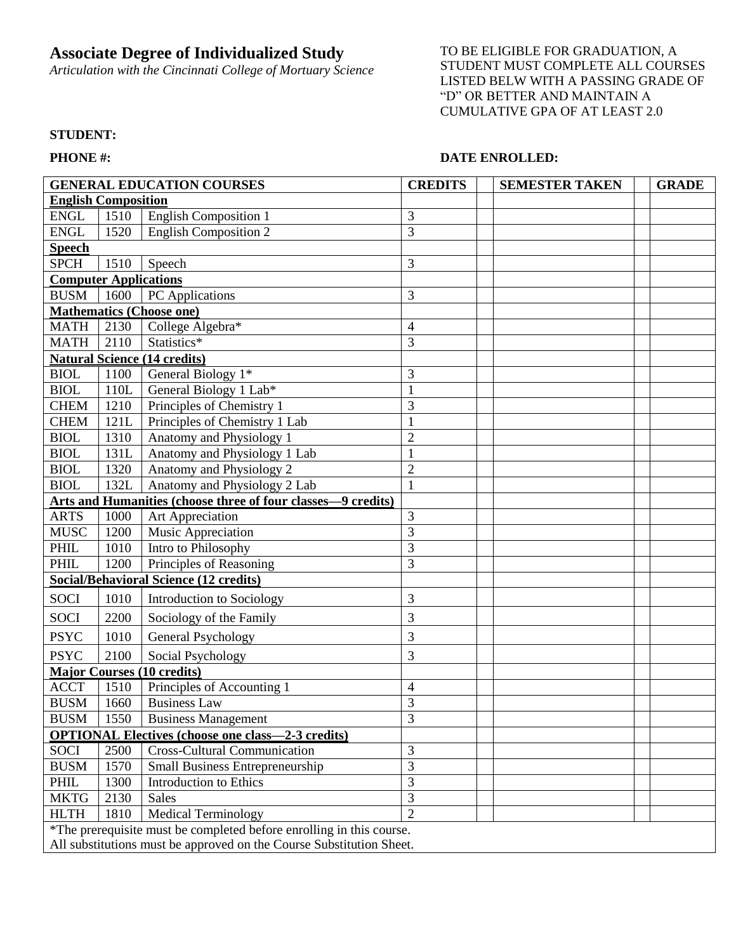## **Associate Degree of Individualized Study**

*Articulation with the Cincinnati College of Mortuary Science*

TO BE ELIGIBLE FOR GRADUATION, A STUDENT MUST COMPLETE ALL COURSES LISTED BELW WITH A PASSING GRADE OF "D" OR BETTER AND MAINTAIN A CUMULATIVE GPA OF AT LEAST 2.0

## **STUDENT:**

## **PHONE #: DATE ENROLLED:**

| <b>GENERAL EDUCATION COURSES</b>                                     |      |                                     | <b>CREDITS</b> | <b>SEMESTER TAKEN</b> | <b>GRADE</b> |
|----------------------------------------------------------------------|------|-------------------------------------|----------------|-----------------------|--------------|
| <b>English Composition</b>                                           |      |                                     |                |                       |              |
| <b>ENGL</b>                                                          | 1510 | <b>English Composition 1</b>        | 3              |                       |              |
| <b>ENGL</b>                                                          | 1520 | <b>English Composition 2</b>        | 3              |                       |              |
| <b>Speech</b>                                                        |      |                                     |                |                       |              |
| <b>SPCH</b>                                                          | 1510 | Speech                              | 3              |                       |              |
| <b>Computer Applications</b>                                         |      |                                     |                |                       |              |
| <b>BUSM</b>                                                          | 1600 | PC Applications                     | 3              |                       |              |
| <b>Mathematics (Choose one)</b>                                      |      |                                     |                |                       |              |
| <b>MATH</b>                                                          | 2130 | College Algebra*                    | 4              |                       |              |
| <b>MATH</b>                                                          | 2110 | Statistics*                         | 3              |                       |              |
| <b>Natural Science (14 credits)</b>                                  |      |                                     |                |                       |              |
| <b>BIOL</b>                                                          | 1100 | General Biology 1*                  | 3              |                       |              |
| <b>BIOL</b>                                                          | 110L | General Biology 1 Lab*              | $\mathbf{1}$   |                       |              |
| <b>CHEM</b>                                                          | 1210 | Principles of Chemistry 1           | 3              |                       |              |
| <b>CHEM</b>                                                          | 121L | Principles of Chemistry 1 Lab       | $\mathbf{1}$   |                       |              |
| <b>BIOL</b>                                                          | 1310 | Anatomy and Physiology 1            | $\overline{c}$ |                       |              |
| <b>BIOL</b>                                                          | 131L | Anatomy and Physiology 1 Lab        | $\mathbf{1}$   |                       |              |
| <b>BIOL</b>                                                          | 1320 | Anatomy and Physiology 2            | $\overline{c}$ |                       |              |
| <b>BIOL</b>                                                          | 132L | Anatomy and Physiology 2 Lab        | $\mathbf{1}$   |                       |              |
| Arts and Humanities (choose three of four classes-9 credits)         |      |                                     |                |                       |              |
| <b>ARTS</b>                                                          | 1000 | Art Appreciation                    | 3              |                       |              |
| <b>MUSC</b>                                                          | 1200 | Music Appreciation                  | 3              |                       |              |
| PHIL                                                                 | 1010 | Intro to Philosophy                 | 3              |                       |              |
| <b>PHIL</b>                                                          | 1200 | Principles of Reasoning             | $\overline{3}$ |                       |              |
| <b>Social/Behavioral Science (12 credits)</b>                        |      |                                     |                |                       |              |
| <b>SOCI</b>                                                          | 1010 | Introduction to Sociology           | 3              |                       |              |
| SOCI                                                                 | 2200 | Sociology of the Family             | 3              |                       |              |
| <b>PSYC</b>                                                          | 1010 | <b>General Psychology</b>           | 3              |                       |              |
| <b>PSYC</b>                                                          | 2100 | Social Psychology                   | 3              |                       |              |
| <b>Major Courses (10 credits)</b>                                    |      |                                     |                |                       |              |
| <b>ACCT</b>                                                          | 1510 | Principles of Accounting 1          | 4              |                       |              |
| <b>BUSM</b>                                                          | 1660 | <b>Business Law</b>                 | 3              |                       |              |
| <b>BUSM</b>                                                          | 1550 | <b>Business Management</b>          | 3              |                       |              |
| <b>OPTIONAL Electives (choose one class—2-3 credits)</b>             |      |                                     |                |                       |              |
| <b>SOCI</b>                                                          | 2500 | <b>Cross-Cultural Communication</b> | 3              |                       |              |
| <b>BUSM</b>                                                          | 1570 | Small Business Entrepreneurship     | 3              |                       |              |
| PHIL                                                                 | 1300 | Introduction to Ethics              | 3              |                       |              |
| <b>MKTG</b>                                                          | 2130 | <b>Sales</b>                        | $\overline{3}$ |                       |              |
| <b>HLTH</b>                                                          | 1810 | Medical Terminology                 | $\overline{2}$ |                       |              |
| *The prerequisite must be completed before enrolling in this course. |      |                                     |                |                       |              |
| All substitutions must be approved on the Course Substitution Sheet. |      |                                     |                |                       |              |